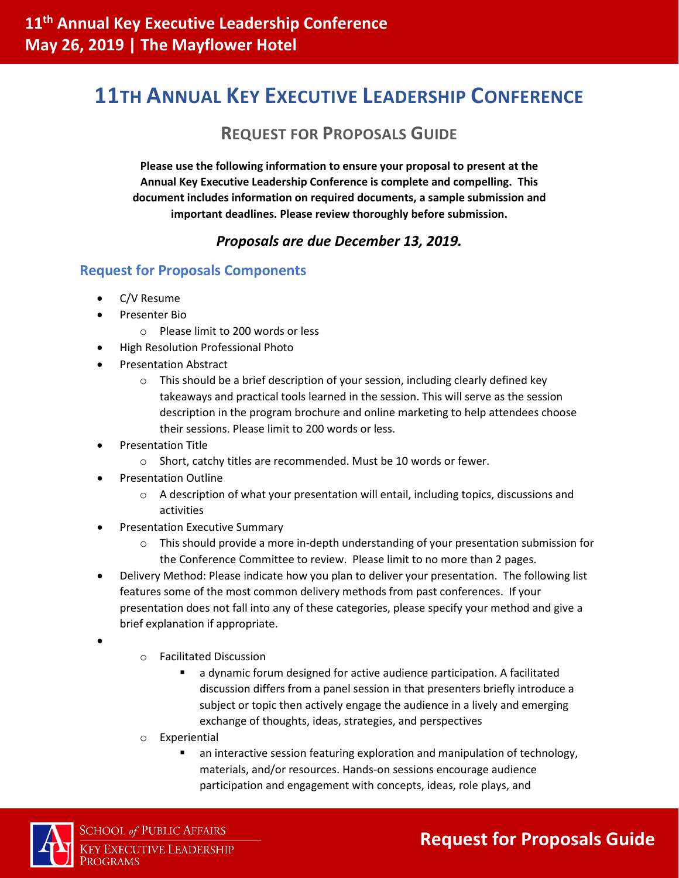# **11TH ANNUAL KEY EXECUTIVE LEADERSHIP CONFERENCE**

### **REQUEST FOR PROPOSALS GUIDE**

**Please use the following information to ensure your proposal to present at the Annual Key Executive Leadership Conference is complete and compelling. This document includes information on required documents, a sample submission and important deadlines. Please review thoroughly before submission.**

### *Proposals are due December 13, 2019.*

#### **Request for Proposals Components**

- C/V Resume
- Presenter Bio
	- o Please limit to 200 words or less
- High Resolution Professional Photo
- Presentation Abstract
	- $\circ$  This should be a brief description of your session, including clearly defined key takeaways and practical tools learned in the session. This will serve as the session description in the program brochure and online marketing to help attendees choose their sessions. Please limit to 200 words or less.
- Presentation Title
	- o Short, catchy titles are recommended. Must be 10 words or fewer.
- Presentation Outline
	- $\circ$  A description of what your presentation will entail, including topics, discussions and activities
- Presentation Executive Summary
	- $\circ$  This should provide a more in-depth understanding of your presentation submission for the Conference Committee to review. Please limit to no more than 2 pages.
- Delivery Method: Please indicate how you plan to deliver your presentation. The following list features some of the most common delivery methods from past conferences. If your presentation does not fall into any of these categories, please specify your method and give a brief explanation if appropriate.
- •
- o Facilitated Discussion
	- a dynamic forum designed for active audience participation. A facilitated discussion differs from a panel session in that presenters briefly introduce a subject or topic then actively engage the audience in a lively and emerging exchange of thoughts, ideas, strategies, and perspectives
- o Experiential
	- an interactive session featuring exploration and manipulation of technology, materials, and/or resources. Hands-on sessions encourage audience participation and engagement with concepts, ideas, role plays, and



## **Request for Proposals Guide**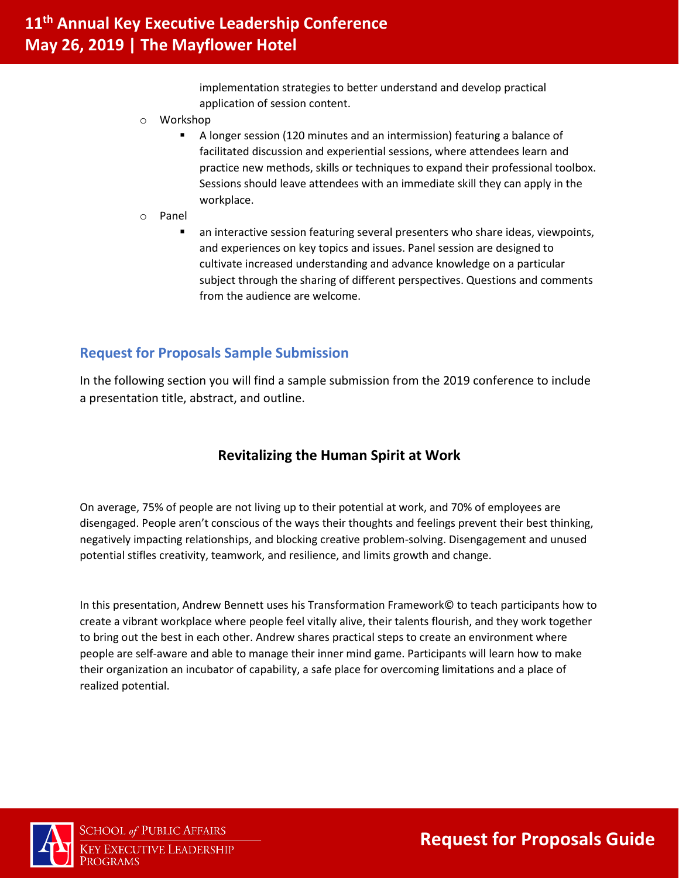implementation strategies to better understand and develop practical application of session content.

- o Workshop
	- A longer session (120 minutes and an intermission) featuring a balance of facilitated discussion and experiential sessions, where attendees learn and practice new methods, skills or techniques to expand their professional toolbox. Sessions should leave attendees with an immediate skill they can apply in the workplace.
- o Panel
	- an interactive session featuring several presenters who share ideas, viewpoints, and experiences on key topics and issues. Panel session are designed to cultivate increased understanding and advance knowledge on a particular subject through the sharing of different perspectives. Questions and comments from the audience are welcome.

### **Request for Proposals Sample Submission**

In the following section you will find a sample submission from the 2019 conference to include a presentation title, abstract, and outline.

### **Revitalizing the Human Spirit at Work**

On average, 75% of people are not living up to their potential at work, and 70% of employees are disengaged. People aren't conscious of the ways their thoughts and feelings prevent their best thinking, negatively impacting relationships, and blocking creative problem-solving. Disengagement and unused potential stifles creativity, teamwork, and resilience, and limits growth and change.

In this presentation, Andrew Bennett uses his Transformation Framework© to teach participants how to create a vibrant workplace where people feel vitally alive, their talents flourish, and they work together to bring out the best in each other. Andrew shares practical steps to create an environment where people are self-aware and able to manage their inner mind game. Participants will learn how to make their organization an incubator of capability, a safe place for overcoming limitations and a place of realized potential.



**SCHOOL of PUBLIC AFFAIRS KEY EXECUTIVE LEADERSHIP** PROGRAMS

**Request for Proposals Guide**